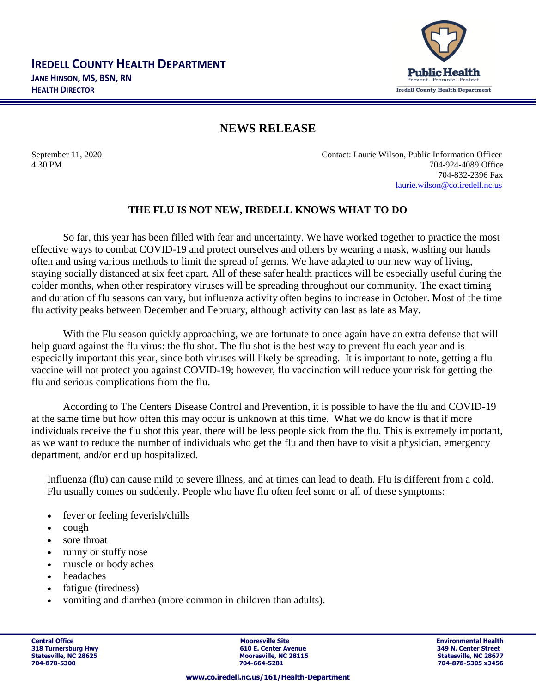

## **NEWS RELEASE**

September 11, 2020 Contact: Laurie Wilson, Public Information Officer 4:30 PM 704-924-4089 Office 704-832-2396 Fax [laurie.wilson@co.iredell.nc.us](mailto:laurie.wilson@co.iredell.nc.us)

## **THE FLU IS NOT NEW, IREDELL KNOWS WHAT TO DO**

So far, this year has been filled with fear and uncertainty. We have worked together to practice the most effective ways to combat COVID-19 and protect ourselves and others by wearing a mask, washing our hands often and using various methods to limit the spread of germs. We have adapted to our new way of living, staying socially distanced at six feet apart. All of these safer health practices will be especially useful during the colder months, when other respiratory viruses will be spreading throughout our community. The exact timing and duration of flu seasons can vary, but influenza activity often begins to increase in October. Most of the time flu activity peaks between December and February, although activity can last as late as May.

With the Flu season quickly approaching, we are fortunate to once again have an extra defense that will help guard against the flu virus: the flu shot. The flu shot is the best way to prevent flu each year and is especially important this year, since both viruses will likely be spreading. It is important to note, getting a flu vaccine will not protect you against COVID-19; however, flu vaccination will reduce your risk for getting the flu and serious complications from the flu.

According to The Centers Disease Control and Prevention, it is possible to have the flu and COVID-19 at the same time but how often this may occur is unknown at this time. What we do know is that if more individuals receive the flu shot this year, there will be less people sick from the flu. This is extremely important, as we want to reduce the number of individuals who get the flu and then have to visit a physician, emergency department, and/or end up hospitalized.

Influenza (flu) can cause mild to severe illness, and at times can lead to death. Flu is different from a cold. Flu usually comes on suddenly. People who have flu often feel some or all of these symptoms:

- fever or feeling feverish/chills
- cough
- sore throat
- runny or stuffy nose
- muscle or body aches
- headaches
- fatigue (tiredness)
- vomiting and diarrhea (more common in children than adults).

**Central Office Mooresville Site Environmental Health 318 Turnersburg Hwy 1988 1998 1999 1999 1999 1999 1999 10:31 1999 1999 10:42 11:42 11:42 11:42 11:42 11:42 11:42 11:42 11:42 11:42 11:42 11:42 11:42 11:42 11:42 11:42 11:42 11:42 11:42 11:42 11:42 11:42 11:42 11:42 11:42** Statesville, NC 28625 **Mooresville, NC 28115** Statesville, NC 28627<br>
2014-664-5281<br>
2014-664-5281 Statesville, NC 28677<br>
2014-828-5305 x3456

**704-878-5300 704-664-5281 704-878-5305 x3456**